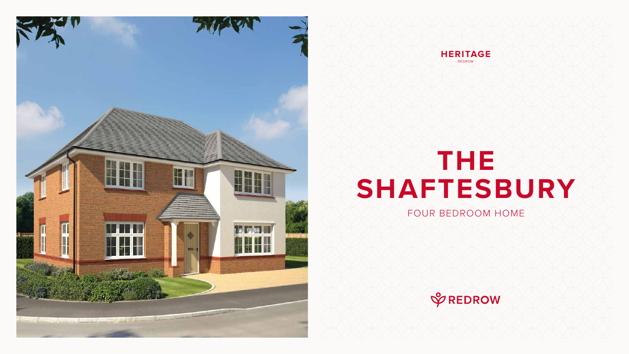# **THE SHAFTESBURY**

### FOUR BEDROOM HOME







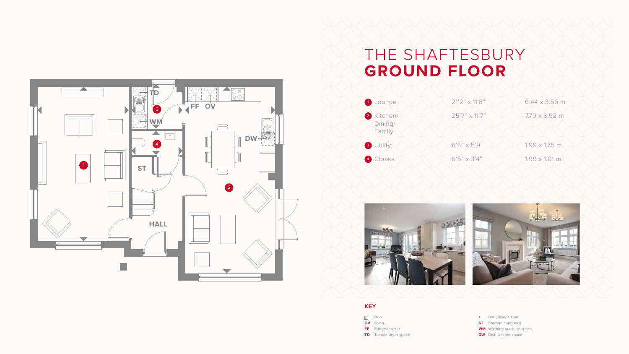## THE SHAFTESBURY **GROUND FLOOR**





- Dimensions start
- **ST** Storage cupboard
- **WM** Washing machine space
- **DW** Dish washer space





#### **KEY**

- **SOLUTE:**
- **OV** Oven
- **FF** Fridge/freezer
- **TD** Tumble dryer space